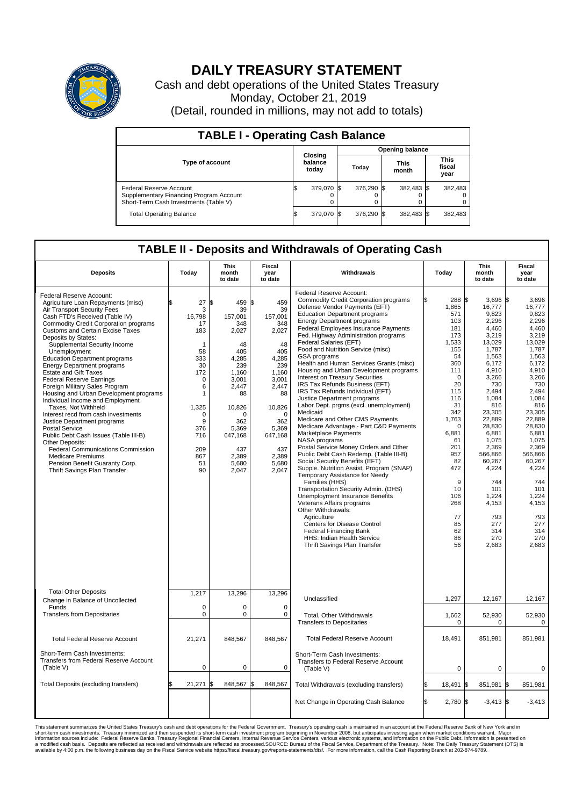

## **DAILY TREASURY STATEMENT**

Cash and debt operations of the United States Treasury Monday, October 21, 2019 (Detail, rounded in millions, may not add to totals)

| <b>TABLE I - Operating Cash Balance</b>                                                                     |                             |            |                        |            |                      |            |                               |         |  |  |  |
|-------------------------------------------------------------------------------------------------------------|-----------------------------|------------|------------------------|------------|----------------------|------------|-------------------------------|---------|--|--|--|
|                                                                                                             | Closing<br>balance<br>today |            | <b>Opening balance</b> |            |                      |            |                               |         |  |  |  |
| Type of account                                                                                             |                             |            | Today                  |            | <b>This</b><br>month |            | <b>This</b><br>fiscal<br>year |         |  |  |  |
| Federal Reserve Account<br>Supplementary Financing Program Account<br>Short-Term Cash Investments (Table V) |                             | 379,070 \$ |                        | 376,290 \$ |                      | 382,483 \$ |                               | 382,483 |  |  |  |
| <b>Total Operating Balance</b>                                                                              | ß.                          | 379,070 \$ |                        | 376,290 \$ |                      | 382,483 \$ |                               | 382,483 |  |  |  |

## **TABLE II - Deposits and Withdrawals of Operating Cash**

| <b>Deposits</b>                                                                                                                                                                                                                                                                                                                                                                                                                                                                                                                                                                                                                                                                                                                                                                                                                                                                               | Today                                                                                                                                         | <b>This</b><br>month<br>to date                                                                                                                                                                 | Fiscal<br>year<br>to date                                                                                                                                                             | Withdrawals                                                                                                                                                                                                                                                                                                                                                                                                                                                                                                                                                                                                                                                                                                                                                                                                                                                                                                                                                                                                                                                                                                                                                                                                                                                                  | Today                                                                                                                                                                                                                                              | <b>This</b><br>month<br>to date                                                                                                                                                                                                                                                                        | Fiscal<br>year<br>to date                                                                                                                                                                                                                                                                                     |
|-----------------------------------------------------------------------------------------------------------------------------------------------------------------------------------------------------------------------------------------------------------------------------------------------------------------------------------------------------------------------------------------------------------------------------------------------------------------------------------------------------------------------------------------------------------------------------------------------------------------------------------------------------------------------------------------------------------------------------------------------------------------------------------------------------------------------------------------------------------------------------------------------|-----------------------------------------------------------------------------------------------------------------------------------------------|-------------------------------------------------------------------------------------------------------------------------------------------------------------------------------------------------|---------------------------------------------------------------------------------------------------------------------------------------------------------------------------------------|------------------------------------------------------------------------------------------------------------------------------------------------------------------------------------------------------------------------------------------------------------------------------------------------------------------------------------------------------------------------------------------------------------------------------------------------------------------------------------------------------------------------------------------------------------------------------------------------------------------------------------------------------------------------------------------------------------------------------------------------------------------------------------------------------------------------------------------------------------------------------------------------------------------------------------------------------------------------------------------------------------------------------------------------------------------------------------------------------------------------------------------------------------------------------------------------------------------------------------------------------------------------------|----------------------------------------------------------------------------------------------------------------------------------------------------------------------------------------------------------------------------------------------------|--------------------------------------------------------------------------------------------------------------------------------------------------------------------------------------------------------------------------------------------------------------------------------------------------------|---------------------------------------------------------------------------------------------------------------------------------------------------------------------------------------------------------------------------------------------------------------------------------------------------------------|
| Federal Reserve Account:<br>Agriculture Loan Repayments (misc)<br>Air Transport Security Fees<br>Cash FTD's Received (Table IV)<br><b>Commodity Credit Corporation programs</b><br><b>Customs and Certain Excise Taxes</b><br>Deposits by States:<br>Supplemental Security Income<br>Unemployment<br><b>Education Department programs</b><br><b>Energy Department programs</b><br><b>Estate and Gift Taxes</b><br><b>Federal Reserve Earnings</b><br>Foreign Military Sales Program<br>Housing and Urban Development programs<br>Individual Income and Employment<br>Taxes, Not Withheld<br>Interest recd from cash investments<br>Justice Department programs<br><b>Postal Service</b><br>Public Debt Cash Issues (Table III-B)<br>Other Deposits:<br><b>Federal Communications Commission</b><br><b>Medicare Premiums</b><br>Pension Benefit Guaranty Corp.<br>Thrift Savings Plan Transfer | \$<br>27<br>3<br>16,798<br>17<br>183<br>1<br>58<br>333<br>30<br>172<br>0<br>6<br>1<br>1,325<br>0<br>9<br>376<br>716<br>209<br>867<br>51<br>90 | 1\$<br>459 \$<br>39<br>157,001<br>348<br>2,027<br>48<br>405<br>4,285<br>239<br>1.160<br>3,001<br>2,447<br>88<br>10,826<br>$\Omega$<br>362<br>5.369<br>647,168<br>437<br>2,389<br>5,680<br>2,047 | 459<br>39<br>157,001<br>348<br>2,027<br>48<br>405<br>4,285<br>239<br>1,160<br>3,001<br>2,447<br>88<br>10,826<br>$\Omega$<br>362<br>5,369<br>647,168<br>437<br>2,389<br>5,680<br>2,047 | Federal Reserve Account:<br><b>Commodity Credit Corporation programs</b><br>Defense Vendor Payments (EFT)<br><b>Education Department programs</b><br><b>Energy Department programs</b><br>Federal Employees Insurance Payments<br>Fed. Highway Administration programs<br>Federal Salaries (EFT)<br>Food and Nutrition Service (misc)<br><b>GSA</b> programs<br>Health and Human Services Grants (misc)<br>Housing and Urban Development programs<br>Interest on Treasury Securities<br>IRS Tax Refunds Business (EFT)<br>IRS Tax Refunds Individual (EFT)<br>Justice Department programs<br>Labor Dept. prgms (excl. unemployment)<br>Medicaid<br>Medicare and Other CMS Payments<br>Medicare Advantage - Part C&D Payments<br>Marketplace Payments<br>NASA programs<br>Postal Service Money Orders and Other<br>Public Debt Cash Redemp. (Table III-B)<br>Social Security Benefits (EFT)<br>Supple. Nutrition Assist. Program (SNAP)<br>Temporary Assistance for Needy<br>Families (HHS)<br>Transportation Security Admin. (DHS)<br>Unemployment Insurance Benefits<br>Veterans Affairs programs<br>Other Withdrawals:<br>Agriculture<br><b>Centers for Disease Control</b><br><b>Federal Financing Bank</b><br>HHS: Indian Health Service<br>Thrift Savings Plan Transfer | 288 \$<br>1,865<br>571<br>103<br>181<br>173<br>1,533<br>155<br>54<br>360<br>111<br>$\Omega$<br>20<br>115<br>116<br>31<br>342<br>1,763<br>$\Omega$<br>6,881<br>61<br>201<br>957<br>82<br>472<br>9<br>10<br>106<br>268<br>77<br>85<br>62<br>86<br>56 | 3.696<br>16,777<br>9,823<br>2,296<br>4,460<br>3,219<br>13,029<br>1,787<br>1,563<br>6,172<br>4,910<br>3,266<br>730<br>2,494<br>1.084<br>816<br>23,305<br>22,889<br>28,830<br>6,881<br>1,075<br>2,369<br>566,866<br>60.267<br>4,224<br>744<br>101<br>1,224<br>4,153<br>793<br>277<br>314<br>270<br>2,683 | l\$<br>3,696<br>16,777<br>9,823<br>2,296<br>4,460<br>3,219<br>13,029<br>1,787<br>1.563<br>6,172<br>4,910<br>3,266<br>730<br>2,494<br>1.084<br>816<br>23,305<br>22,889<br>28.830<br>6,881<br>1,075<br>2,369<br>566,866<br>60.267<br>4,224<br>744<br>101<br>1,224<br>4,153<br>793<br>277<br>314<br>270<br>2,683 |
| <b>Total Other Deposits</b><br>Change in Balance of Uncollected                                                                                                                                                                                                                                                                                                                                                                                                                                                                                                                                                                                                                                                                                                                                                                                                                               | 1,217                                                                                                                                         | 13,296                                                                                                                                                                                          | 13,296                                                                                                                                                                                | Unclassified                                                                                                                                                                                                                                                                                                                                                                                                                                                                                                                                                                                                                                                                                                                                                                                                                                                                                                                                                                                                                                                                                                                                                                                                                                                                 | 1,297                                                                                                                                                                                                                                              | 12,167                                                                                                                                                                                                                                                                                                 | 12,167                                                                                                                                                                                                                                                                                                        |
| Funds<br><b>Transfers from Depositaries</b>                                                                                                                                                                                                                                                                                                                                                                                                                                                                                                                                                                                                                                                                                                                                                                                                                                                   | $\mathbf 0$<br>$\mathbf 0$                                                                                                                    | $\mathbf 0$<br>$\mathbf 0$                                                                                                                                                                      | $\Omega$<br>$\mathbf 0$                                                                                                                                                               | Total, Other Withdrawals<br><b>Transfers to Depositaries</b>                                                                                                                                                                                                                                                                                                                                                                                                                                                                                                                                                                                                                                                                                                                                                                                                                                                                                                                                                                                                                                                                                                                                                                                                                 | 1,662<br>0                                                                                                                                                                                                                                         | 52,930<br>$\mathbf 0$                                                                                                                                                                                                                                                                                  | 52,930<br>$\mathbf 0$                                                                                                                                                                                                                                                                                         |
| <b>Total Federal Reserve Account</b>                                                                                                                                                                                                                                                                                                                                                                                                                                                                                                                                                                                                                                                                                                                                                                                                                                                          | 21,271                                                                                                                                        | 848,567                                                                                                                                                                                         | 848,567                                                                                                                                                                               | <b>Total Federal Reserve Account</b>                                                                                                                                                                                                                                                                                                                                                                                                                                                                                                                                                                                                                                                                                                                                                                                                                                                                                                                                                                                                                                                                                                                                                                                                                                         | 18,491                                                                                                                                                                                                                                             | 851,981                                                                                                                                                                                                                                                                                                | 851,981                                                                                                                                                                                                                                                                                                       |
| Short-Term Cash Investments:<br>Transfers from Federal Reserve Account<br>(Table V)                                                                                                                                                                                                                                                                                                                                                                                                                                                                                                                                                                                                                                                                                                                                                                                                           | $\mathbf 0$                                                                                                                                   | $\mathbf 0$                                                                                                                                                                                     | $\mathbf 0$                                                                                                                                                                           | Short-Term Cash Investments:<br>Transfers to Federal Reserve Account<br>(Table V)                                                                                                                                                                                                                                                                                                                                                                                                                                                                                                                                                                                                                                                                                                                                                                                                                                                                                                                                                                                                                                                                                                                                                                                            | $\mathbf 0$                                                                                                                                                                                                                                        | $\mathbf 0$                                                                                                                                                                                                                                                                                            | $\mathbf 0$                                                                                                                                                                                                                                                                                                   |
| Total Deposits (excluding transfers)                                                                                                                                                                                                                                                                                                                                                                                                                                                                                                                                                                                                                                                                                                                                                                                                                                                          | 21,271                                                                                                                                        | l\$<br>848,567 \$                                                                                                                                                                               | 848,567                                                                                                                                                                               | Total Withdrawals (excluding transfers)                                                                                                                                                                                                                                                                                                                                                                                                                                                                                                                                                                                                                                                                                                                                                                                                                                                                                                                                                                                                                                                                                                                                                                                                                                      | 18,491                                                                                                                                                                                                                                             | 851,981<br>l\$                                                                                                                                                                                                                                                                                         | 1\$<br>851,981                                                                                                                                                                                                                                                                                                |
|                                                                                                                                                                                                                                                                                                                                                                                                                                                                                                                                                                                                                                                                                                                                                                                                                                                                                               |                                                                                                                                               |                                                                                                                                                                                                 |                                                                                                                                                                                       | Net Change in Operating Cash Balance                                                                                                                                                                                                                                                                                                                                                                                                                                                                                                                                                                                                                                                                                                                                                                                                                                                                                                                                                                                                                                                                                                                                                                                                                                         | \$.<br>2.780 \$                                                                                                                                                                                                                                    | $-3,413$ \$                                                                                                                                                                                                                                                                                            | $-3.413$                                                                                                                                                                                                                                                                                                      |

This statement summarizes the United States Treasury's cash and debt operations for the Federal Government. Treasury operating in November 2008, but anticing ats investment summarket conditions warrant. Major short-term ca